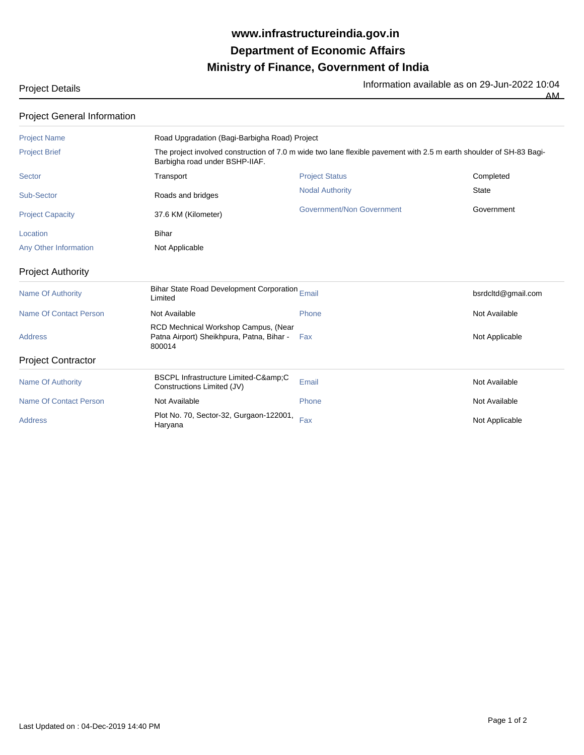## **Ministry of Finance, Government of India Department of Economic Affairs www.infrastructureindia.gov.in**

| <b>Project Details</b> | Information available as on 29-Jun-2022 10:04 |
|------------------------|-----------------------------------------------|
|                        | AМ<br>____                                    |

| <b>Project General Information</b> |                                                                                             |                                                                                                                     |                    |  |  |
|------------------------------------|---------------------------------------------------------------------------------------------|---------------------------------------------------------------------------------------------------------------------|--------------------|--|--|
| <b>Project Name</b>                |                                                                                             | Road Upgradation (Bagi-Barbigha Road) Project                                                                       |                    |  |  |
| <b>Project Brief</b>               | Barbigha road under BSHP-IIAF.                                                              | The project involved construction of 7.0 m wide two lane flexible pavement with 2.5 m earth shoulder of SH-83 Bagi- |                    |  |  |
| Sector                             | Transport                                                                                   | <b>Project Status</b>                                                                                               | Completed          |  |  |
| Sub-Sector                         | Roads and bridges                                                                           | <b>Nodal Authority</b>                                                                                              | <b>State</b>       |  |  |
| <b>Project Capacity</b>            | 37.6 KM (Kilometer)                                                                         | Government/Non Government                                                                                           | Government         |  |  |
| Location                           | Bihar                                                                                       |                                                                                                                     |                    |  |  |
| Any Other Information              | Not Applicable                                                                              |                                                                                                                     |                    |  |  |
| <b>Project Authority</b>           |                                                                                             |                                                                                                                     |                    |  |  |
| <b>Name Of Authority</b>           | Bihar State Road Development Corporation Email<br>Limited                                   |                                                                                                                     | bsrdcltd@gmail.com |  |  |
| <b>Name Of Contact Person</b>      | Not Available                                                                               | Phone                                                                                                               | Not Available      |  |  |
| <b>Address</b>                     | RCD Mechnical Workshop Campus, (Near<br>Patna Airport) Sheikhpura, Patna, Bihar -<br>800014 | Fax                                                                                                                 | Not Applicable     |  |  |
| <b>Project Contractor</b>          |                                                                                             |                                                                                                                     |                    |  |  |
| <b>Name Of Authority</b>           | BSCPL Infrastructure Limited-C&C<br>Constructions Limited (JV)                              | Email                                                                                                               | Not Available      |  |  |
| <b>Name Of Contact Person</b>      | Not Available                                                                               | Phone                                                                                                               | Not Available      |  |  |
| <b>Address</b>                     | Plot No. 70, Sector-32, Gurgaon-122001,<br>Haryana                                          | Fax                                                                                                                 | Not Applicable     |  |  |